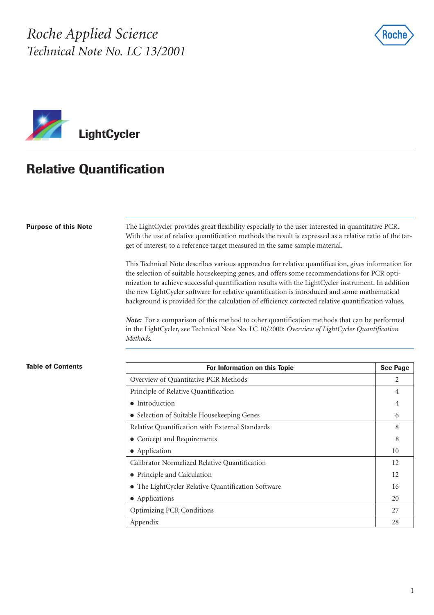*Roche Applied Science Technical Note No. LC 13/2001*





# **Relative Quantification**

### **Purpose of this Note**

The LightCycler provides great flexibility especially to the user interested in quantitative PCR. With the use of relative quantification methods the result is expressed as a relative ratio of the target of interest, to a reference target measured in the same sample material.

This Technical Note describes various approaches for relative quantification, gives information for the selection of suitable housekeeping genes, and offers some recommendations for PCR optimization to achieve successful quantification results with the LightCycler instrument. In addition the new LightCycler software for relative quantification is introduced and some mathematical background is provided for the calculation of efficiency corrected relative quantification values.

*Note:* For a comparison of this method to other quantification methods that can be performed in the LightCycler, see Technical Note No. LC 10/2000: *Overview of LightCycler Quantification Methods*.

| ble of Contents | For Information on this Topic                      | <b>See Page</b> |
|-----------------|----------------------------------------------------|-----------------|
|                 | Overview of Quantitative PCR Methods               | 2               |
|                 | Principle of Relative Quantification               | 4               |
|                 | • Introduction                                     | 4               |
|                 | • Selection of Suitable Housekeeping Genes         | 6               |
|                 | Relative Quantification with External Standards    | 8               |
|                 | • Concept and Requirements                         | 8               |
|                 | • Application                                      | 10              |
|                 | Calibrator Normalized Relative Quantification      | 12              |
|                 | • Principle and Calculation                        | 12              |
|                 | • The LightCycler Relative Quantification Software | 16              |
|                 | • Applications                                     | 20              |
|                 | <b>Optimizing PCR Conditions</b>                   | 27              |
|                 | Appendix                                           | 28              |

### **Tab**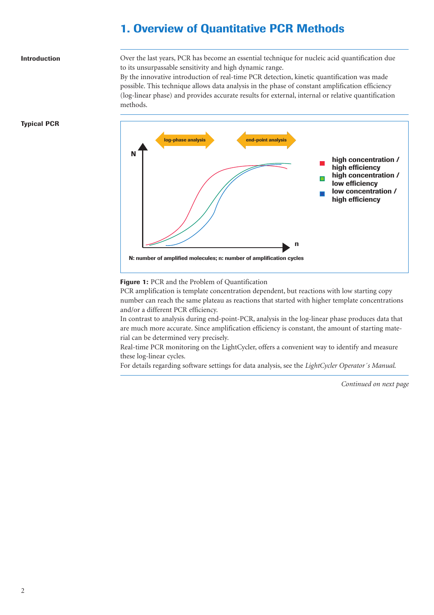### **1. Overview of Quantitative PCR Methods**

#### **Introduction**

Over the last years, PCR has become an essential technique for nucleic acid quantification due to its unsurpassable sensitivity and high dynamic range.

By the innovative introduction of real-time PCR detection, kinetic quantification was made possible. This technique allows data analysis in the phase of constant amplification efficiency (log-linear phase) and provides accurate results for external, internal or relative quantification methods.



### **Typical PCR**

#### **Figure 1:** PCR and the Problem of Quantification

PCR amplification is template concentration dependent, but reactions with low starting copy number can reach the same plateau as reactions that started with higher template concentrations and/or a different PCR efficiency.

In contrast to analysis during end-point-PCR, analysis in the log-linear phase produces data that are much more accurate. Since amplification efficiency is constant, the amount of starting material can be determined very precisely.

Real-time PCR monitoring on the LightCycler, offers a convenient way to identify and measure these log-linear cycles.

For details regarding software settings for data analysis, see the *LightCycler Operator´s Manual*.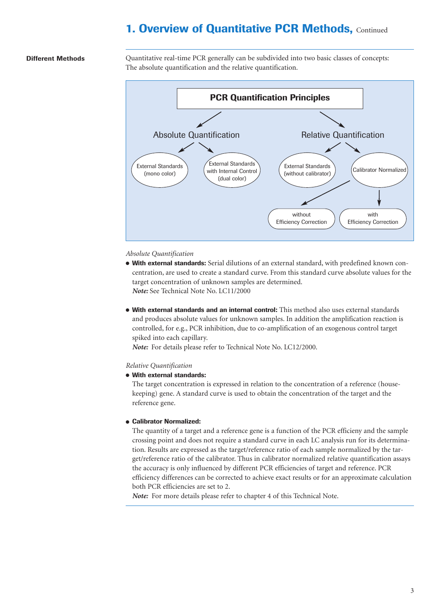### **1. Overview of Quantitative PCR Methods, Continued**

### **Different Methods**

Quantitative real-time PCR generally can be subdivided into two basic classes of concepts: The absolute quantification and the relative quantification.



#### *Absolute Quantification*

- **With external standards:** Serial dilutions of an external standard, with predefined known concentration, are used to create a standard curve. From this standard curve absolute values for the target concentration of unknown samples are determined. *Note:* See Technical Note No. LC11/2000
- **With external standards and an internal control:** This method also uses external standards and produces absolute values for unknown samples. In addition the amplification reaction is controlled, for e.g., PCR inhibition, due to co-amplification of an exogenous control target spiked into each capillary.

*Note:* For details please refer to Technical Note No. LC12/2000.

### *Relative Quantification*

● **With external standards:** 

The target concentration is expressed in relation to the concentration of a reference (housekeeping) gene. A standard curve is used to obtain the concentration of the target and the reference gene.

#### ● **Calibrator Normalized:**

The quantity of a target and a reference gene is a function of the PCR efficieny and the sample crossing point and does not require a standard curve in each LC analysis run for its determination. Results are expressed as the target/reference ratio of each sample normalized by the target/reference ratio of the calibrator. Thus in calibrator normalized relative quantification assays the accuracy is only influenced by different PCR efficiencies of target and reference. PCR efficiency differences can be corrected to achieve exact results or for an approximate calculation both PCR efficiencies are set to 2.

*Note:* For more details please refer to chapter 4 of this Technical Note.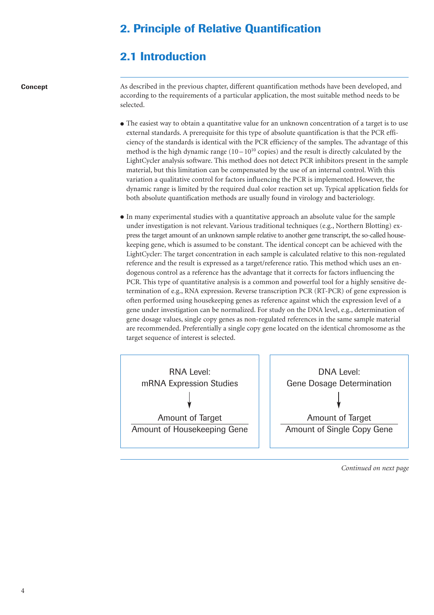## **2. Principle of Relative Quantification**

### **2.1 Introduction**

**Concept**

As described in the previous chapter, different quantification methods have been developed, and according to the requirements of a particular application, the most suitable method needs to be selected.

- The easiest way to obtain a quantitative value for an unknown concentration of a target is to use external standards. A prerequisite for this type of absolute quantification is that the PCR efficiency of the standards is identical with the PCR efficiency of the samples. The advantage of this method is the high dynamic range  $(10-10^{10}$  copies) and the result is directly calculated by the LightCycler analysis software. This method does not detect PCR inhibitors present in the sample material, but this limitation can be compensated by the use of an internal control. With this variation a qualitative control for factors influencing the PCR is implemented. However, the dynamic range is limited by the required dual color reaction set up. Typical application fields for both absolute quantification methods are usually found in virology and bacteriology.
- In many experimental studies with a quantitative approach an absolute value for the sample under investigation is not relevant. Various traditional techniques (e.g., Northern Blotting) express the target amount of an unknown sample relative to another gene transcript, the so-called housekeeping gene, which is assumed to be constant. The identical concept can be achieved with the LightCycler: The target concentration in each sample is calculated relative to this non-regulated reference and the result is expressed as a target/reference ratio. This method which uses an endogenous control as a reference has the advantage that it corrects for factors influencing the PCR. This type of quantitative analysis is a common and powerful tool for a highly sensitive determination of e.g., RNA expression. Reverse transcription PCR (RT-PCR) of gene expression is often performed using housekeeping genes as reference against which the expression level of a gene under investigation can be normalized. For study on the DNA level, e.g., determination of gene dosage values, single copy genes as non-regulated references in the same sample material are recommended. Preferentially a single copy gene located on the identical chromosome as the target sequence of interest is selected.

RNA Level: mRNA Expression Studies Amount of Target Amount of Housekeeping Gene

DNA Level: Gene Dosage Determination Amount of Target Amount of Single Copy Gene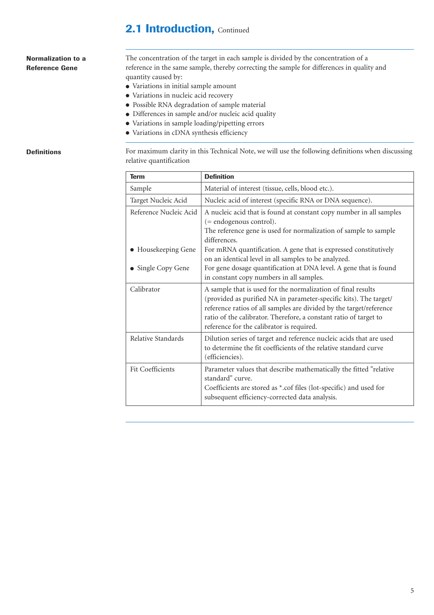### **2.1 Introduction, Continued**

### **Normalization to a Reference Gene**

The concentration of the target in each sample is divided by the concentration of a reference in the same sample, thereby correcting the sample for differences in quality and quantity caused by:

- Variations in initial sample amount
- Variations in nucleic acid recovery
- Possible RNA degradation of sample material
- Differences in sample and/or nucleic acid quality
- Variations in sample loading/pipetting errors
- Variations in cDNA synthesis efficiency

### **Definitions**

For maximum clarity in this Technical Note, we will use the following definitions when discussing relative quantification

| <b>Term</b>             | <b>Definition</b>                                                                                                                                                                                                                                                                                                          |
|-------------------------|----------------------------------------------------------------------------------------------------------------------------------------------------------------------------------------------------------------------------------------------------------------------------------------------------------------------------|
| Sample                  | Material of interest (tissue, cells, blood etc.).                                                                                                                                                                                                                                                                          |
| Target Nucleic Acid     | Nucleic acid of interest (specific RNA or DNA sequence).                                                                                                                                                                                                                                                                   |
| Reference Nucleic Acid  | A nucleic acid that is found at constant copy number in all samples<br>(= endogenous control).<br>The reference gene is used for normalization of sample to sample                                                                                                                                                         |
| Housekeeping Gene       | differences.<br>For mRNA quantification. A gene that is expressed constitutively<br>on an identical level in all samples to be analyzed.                                                                                                                                                                                   |
| Single Copy Gene        | For gene dosage quantification at DNA level. A gene that is found<br>in constant copy numbers in all samples.                                                                                                                                                                                                              |
| Calibrator              | A sample that is used for the normalization of final results<br>(provided as purified NA in parameter-specific kits). The target/<br>reference ratios of all samples are divided by the target/reference<br>ratio of the calibrator. Therefore, a constant ratio of target to<br>reference for the calibrator is required. |
| Relative Standards      | Dilution series of target and reference nucleic acids that are used<br>to determine the fit coefficients of the relative standard curve<br>(efficiencies).                                                                                                                                                                 |
| <b>Fit Coefficients</b> | Parameter values that describe mathematically the fitted "relative<br>standard" curve.<br>Coefficients are stored as *.cof files (lot-specific) and used for<br>subsequent efficiency-corrected data analysis.                                                                                                             |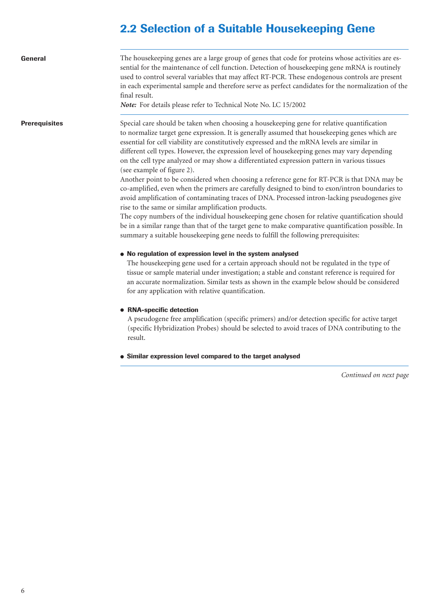# **2.2 Selection of a Suitable Housekeeping Gene**

| General              | The housekeeping genes are a large group of genes that code for proteins whose activities are es-<br>sential for the maintenance of cell function. Detection of housekeeping gene mRNA is routinely<br>used to control several variables that may affect RT-PCR. These endogenous controls are present<br>in each experimental sample and therefore serve as perfect candidates for the normalization of the<br>final result.<br>Note: For details please refer to Technical Note No. LC 15/2002                                                                                                                                                                                                                                                                                                                                                                                                                                                                                                                                                                                                                                                                                                                                                                                                                                                                                                                                                                                                                                                                                                   |
|----------------------|----------------------------------------------------------------------------------------------------------------------------------------------------------------------------------------------------------------------------------------------------------------------------------------------------------------------------------------------------------------------------------------------------------------------------------------------------------------------------------------------------------------------------------------------------------------------------------------------------------------------------------------------------------------------------------------------------------------------------------------------------------------------------------------------------------------------------------------------------------------------------------------------------------------------------------------------------------------------------------------------------------------------------------------------------------------------------------------------------------------------------------------------------------------------------------------------------------------------------------------------------------------------------------------------------------------------------------------------------------------------------------------------------------------------------------------------------------------------------------------------------------------------------------------------------------------------------------------------------|
| <b>Prerequisites</b> | Special care should be taken when choosing a housekeeping gene for relative quantification<br>to normalize target gene expression. It is generally assumed that housekeeping genes which are<br>essential for cell viability are constitutively expressed and the mRNA levels are similar in<br>different cell types. However, the expression level of housekeeping genes may vary depending<br>on the cell type analyzed or may show a differentiated expression pattern in various tissues<br>(see example of figure 2).<br>Another point to be considered when choosing a reference gene for RT-PCR is that DNA may be<br>co-amplified, even when the primers are carefully designed to bind to exon/intron boundaries to<br>avoid amplification of contaminating traces of DNA. Processed intron-lacking pseudogenes give<br>rise to the same or similar amplification products.<br>The copy numbers of the individual housekeeping gene chosen for relative quantification should<br>be in a similar range than that of the target gene to make comparative quantification possible. In<br>summary a suitable housekeeping gene needs to fulfill the following prerequisites:<br>• No regulation of expression level in the system analysed<br>The housekeeping gene used for a certain approach should not be regulated in the type of<br>tissue or sample material under investigation; a stable and constant reference is required for<br>an accurate normalization. Similar tests as shown in the example below should be considered<br>for any application with relative quantification. |
|                      | • RNA-specific detection<br>A pseudogene free amplification (specific primers) and/or detection specific for active target<br>(specific Hybridization Probes) should be selected to avoid traces of DNA contributing to the<br>result.                                                                                                                                                                                                                                                                                                                                                                                                                                                                                                                                                                                                                                                                                                                                                                                                                                                                                                                                                                                                                                                                                                                                                                                                                                                                                                                                                             |
|                      | • Similar expression level compared to the target analysed                                                                                                                                                                                                                                                                                                                                                                                                                                                                                                                                                                                                                                                                                                                                                                                                                                                                                                                                                                                                                                                                                                                                                                                                                                                                                                                                                                                                                                                                                                                                         |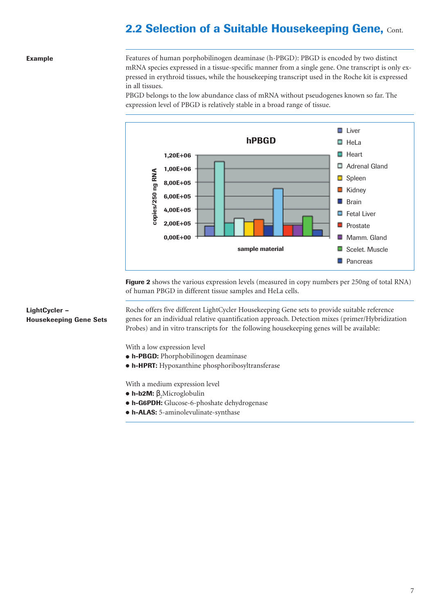# **2.2 Selection of a Suitable Housekeeping Gene, Cont.**

### **Example**

Features of human porphobilinogen deaminase (h-PBGD): PBGD is encoded by two distinct mRNA species expressed in a tissue-specific manner from a single gene. One transcript is only expressed in erythroid tissues, while the housekeeping transcript used in the Roche kit is expressed in all tissues.

PBGD belongs to the low abundance class of mRNA without pseudogenes known so far. The expression level of PBGD is relatively stable in a broad range of tissue.



**Figure 2** shows the various expression levels (measured in copy numbers per 250ng of total RNA) of human PBGD in different tissue samples and HeLa cells.

### **LightCycler – Housekeeping Gene Sets**

Roche offers five different LightCycler Housekeeping Gene sets to provide suitable reference genes for an individual relative quantification approach. Detection mixes (primer/Hybridization Probes) and in vitro transcripts for the following housekeeping genes will be available:

With a low expression level

- **h-PBGD:** Phorphobilinogen deaminase
- **h-HPRT:** Hypoxanthine phosphoribosyltransferase

With a medium expression level

- **h-b2M:** β<sub>2</sub>Microglobulin
- **h-G6PDH:** Glucose-6-phoshate dehydrogenase
- **h-ALAS:** 5-aminolevulinate-synthase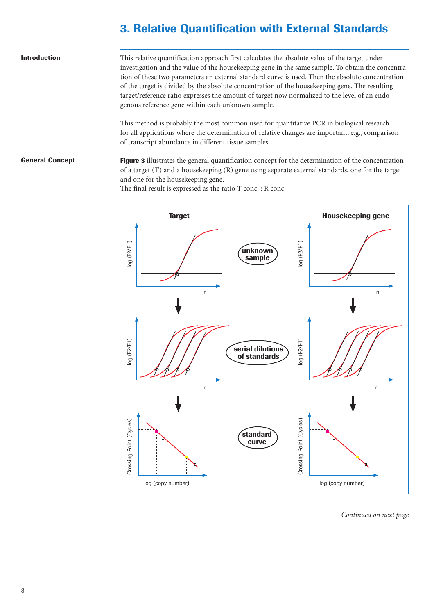# **3. Relative Quantification with External Standards**

#### **Introduction**

This relative quantification approach first calculates the absolute value of the target under investigation and the value of the housekeeping gene in the same sample. To obtain the concentration of these two parameters an external standard curve is used. Then the absolute concentration of the target is divided by the absolute concentration of the housekeeping gene. The resulting target/reference ratio expresses the amount of target now normalized to the level of an endogenous reference gene within each unknown sample.

This method is probably the most common used for quantitative PCR in biological research for all applications where the determination of relative changes are important, e.g., comparison of transcript abundance in different tissue samples.

### **General Concept**

**Figure 3** illustrates the general quantification concept for the determination of the concentration of a target (T) and a housekeeping (R) gene using separate external standards, one for the target and one for the housekeeping gene.

The final result is expressed as the ratio T conc. : R conc.

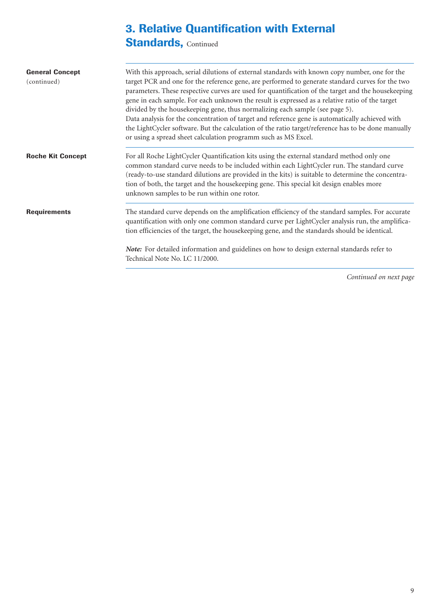# **3. Relative Quantification with External**

# **Standards, Continued**

| <b>General Concept</b><br>(continued) | With this approach, serial dilutions of external standards with known copy number, one for the<br>target PCR and one for the reference gene, are performed to generate standard curves for the two<br>parameters. These respective curves are used for quantification of the target and the housekeeping<br>gene in each sample. For each unknown the result is expressed as a relative ratio of the target<br>divided by the housekeeping gene, thus normalizing each sample (see page 5).<br>Data analysis for the concentration of target and reference gene is automatically achieved with<br>the LightCycler software. But the calculation of the ratio target/reference has to be done manually<br>or using a spread sheet calculation programm such as MS Excel. |
|---------------------------------------|-------------------------------------------------------------------------------------------------------------------------------------------------------------------------------------------------------------------------------------------------------------------------------------------------------------------------------------------------------------------------------------------------------------------------------------------------------------------------------------------------------------------------------------------------------------------------------------------------------------------------------------------------------------------------------------------------------------------------------------------------------------------------|
| <b>Roche Kit Concept</b>              | For all Roche LightCycler Quantification kits using the external standard method only one<br>common standard curve needs to be included within each LightCycler run. The standard curve<br>(ready-to-use standard dilutions are provided in the kits) is suitable to determine the concentra-<br>tion of both, the target and the housekeeping gene. This special kit design enables more<br>unknown samples to be run within one rotor.                                                                                                                                                                                                                                                                                                                                |
| <b>Requirements</b>                   | The standard curve depends on the amplification efficiency of the standard samples. For accurate<br>quantification with only one common standard curve per LightCycler analysis run, the amplifica-<br>tion efficiencies of the target, the housekeeping gene, and the standards should be identical.                                                                                                                                                                                                                                                                                                                                                                                                                                                                   |
|                                       | Note: For detailed information and guidelines on how to design external standards refer to<br>Technical Note No. LC 11/2000.                                                                                                                                                                                                                                                                                                                                                                                                                                                                                                                                                                                                                                            |
|                                       | Continued on next page                                                                                                                                                                                                                                                                                                                                                                                                                                                                                                                                                                                                                                                                                                                                                  |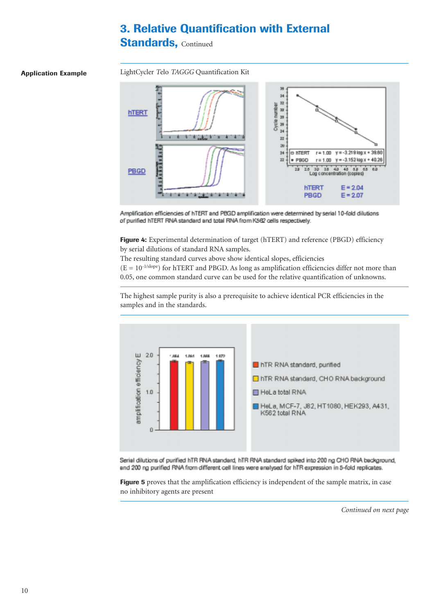# **3. Relative Quantification with External**

## **Standards, Continued**

### **Application Example**

LightCycler *T*elo *TAGGG* Quantification Kit



Amplification efficiencies of hTERT and PBGD amplification were determined by serial 10-fold dilutions of purified hTERT RNA standard and total RNA from K562 cells respectively.

**Figure 4:** Experimental determination of target (hTERT) and reference (PBGD) efficiency by serial dilutions of standard RNA samples.

The resulting standard curves above show identical slopes, efficiencies

 $(E = 10^{-1/slope})$  for hTERT and PBGD. As long as amplification efficiencies differ not more than 0.05, one common standard curve can be used for the relative quantification of unknowns.

The highest sample purity is also a prerequisite to achieve identical PCR efficiencies in the samples and in the standards.



Serial dilutions of purified hTR RNA standard, hTR RNA standard spiked into 200 ng CHO RNA background. and 200 ng purified RNA from different cell lines were analysed for hTR expression in 5-fold replicates.

Figure 5 proves that the amplification efficiency is independent of the sample matrix, in case no inhibitory agents are present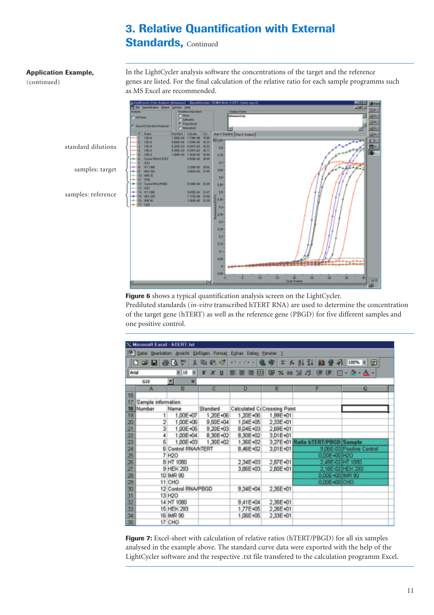## **3. Relative Quantification with External Standards, Continued**

### **Application Example,**

(continued)

In the LightCycler analysis software the concentrations of the target and the reference genes are listed. For the final calculation of the relative ratio for each sample programms such as MS Excel are recommended.



**Figure 6** shows a typical quantification analysis screen on the LightCycler.

Prediluted standards (*in-vitro* transcribed hTERT RNA) are used to determine the concentration of the target gene (hTERT) as well as the reference gene (PBGD) for five different samples and one positive control.

|         | <b>X Microsoft Excel - hTERT.txt</b>                                          |                            |          |                 |                             |                                  |                           |
|---------|-------------------------------------------------------------------------------|----------------------------|----------|-----------------|-----------------------------|----------------------------------|---------------------------|
|         |                                                                               |                            |          |                 |                             |                                  |                           |
|         | <sup>38</sup> Datei Bearbeiten Ansicht Einfügen Format Egtras Daten Eenster ? |                            |          |                 |                             |                                  |                           |
|         | ∥DG⊌⊜Q∜                                                                       | 黒                          | 毛毛が      | $89 - 01 - 0.8$ |                             | 工人创引组要另 100%国团                   |                           |
|         | Arial<br>я<br>$= 10$<br>明显<br>※ 30 24 25 课 国 - タ - ム -<br>$X$ U<br>.<br>F     |                            |          |                 |                             |                                  |                           |
|         | G18                                                                           | ≖<br>=                     |          |                 |                             |                                  |                           |
|         | A                                                                             | B                          | c        | D               | Е                           |                                  | G                         |
| 16      |                                                                               |                            |          |                 |                             |                                  |                           |
| 17      | Sample information:                                                           |                            |          |                 |                             |                                  |                           |
| 18      | Number                                                                        | Name                       | Standard |                 | Calculated C(Crossing Point |                                  |                           |
| 19      | $\mathbf{1}$                                                                  | 1,00E+07                   | 1,20E+06 | 1,20E+06        | 1,99E+01                    |                                  |                           |
| 20      | 2                                                                             | 1,00E+06                   | 9.50E+04 | 1,04E+05        | 2,33E+01                    |                                  |                           |
| 21      | 3                                                                             | 1,00E+05                   | 9.20E+03 | 8,04E+03        | 2,69E+01                    |                                  |                           |
| $_{22}$ | 4                                                                             | 1,00E+04                   | 8.30E+02 | 8,30E+02        | 3,01E+01                    |                                  |                           |
| 23      | $\overline{5}$                                                                | 1,00E+03                   | 1,30E+02 | 1,36E+02        |                             | 3,27E+01 Ratio hTERT/PBGD Sample |                           |
| 24      |                                                                               | <b>6 Control RNA/hTERT</b> |          | 8,46E+02        | 3,01E+01                    |                                  | 9,06E-03 Positive Control |
| 25      |                                                                               | 7 H <sub>20</sub>          |          |                 |                             | 0,00E+00 H2O                     |                           |
| 26      |                                                                               | 8 HT 1080                  |          | 2,34E+03        | 2,87E+01                    | 2,49E-02 HT 1080                 |                           |
| 27      |                                                                               | 9 HEK 293                  |          | 3,86E+03        | 2,80E+01                    |                                  | 2,18E-02 HEK 293          |
| 28      |                                                                               | 10 IMR 90                  |          |                 |                             | 0,00E+00 MR 90                   |                           |
| 29      |                                                                               | 11 CHO                     |          |                 |                             | 0,00E+00 CHO                     |                           |
| 30      |                                                                               | 12 Control RNA/PBGD        |          | 9,34E+04        | 2,35E+01                    |                                  |                           |
| 31      |                                                                               | 13 H <sub>2</sub> O        |          |                 |                             |                                  |                           |
| 32      |                                                                               | 14 HT 1080                 |          | 9,41E+04        | 2,35E+01                    |                                  |                           |
| 33      |                                                                               | 15 HEK 293                 |          | 1,77E+05        | 2,26E+01                    |                                  |                           |
| 34      |                                                                               | 16 IMR 90                  |          | 1,06E+05        | 2,33E+01                    |                                  |                           |
| 35      |                                                                               | 17 CHO                     |          |                 |                             |                                  |                           |

**Figure 7:** Excel-sheet with calculation of relative ratios (hTERT/PBGD) for all six samples analysed in the example above. The standard curve data were exported with the help of the LightCycler software and the respective .txt file transfered to the calculation programm Excel.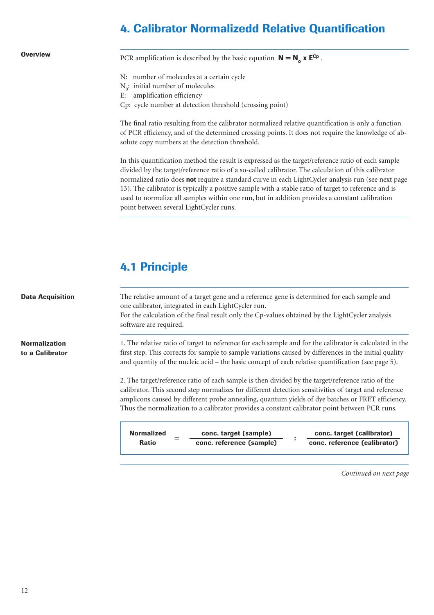## **4. Calibrator Normalizedd Relative Quantification**

**Overview**

PCR amplification is described by the basic equation  $N = N_a x E^{Cp}$ .

- N: number of molecules at a certain cycle
- $N_0$ : initial number of molecules
- E: amplification efficiency
- Cp: cycle number at detection threshold (crossing point)

The final ratio resulting from the calibrator normalized relative quantification is only a function of PCR efficiency, and of the determined crossing points. It does not require the knowledge of absolute copy numbers at the detection threshold.

In this quantification method the result is expressed as the target/reference ratio of each sample divided by the target/reference ratio of a so-called calibrator. The calculation of this calibrator normalized ratio does **not** require a standard curve in each LightCycler analysis run (see next page 13). The calibrator is typically a positive sample with a stable ratio of target to reference and is used to normalize all samples within one run, but in addition provides a constant calibration point between several LightCycler runs.

# **4.1 Principle**

**Data Acquisition Normalization to a Calibrator** The relative amount of a target gene and a reference gene is determined for each sample and one calibrator, integrated in each LightCycler run. For the calculation of the final result only the Cp-values obtained by the LightCycler analysis software are required. 1. The relative ratio of target to reference for each sample and for the calibrator is calculated in the first step. This corrects for sample to sample variations caused by differences in the initial quality and quantity of the nucleic acid – the basic concept of each relative quantification (see page 5). 2. The target/reference ratio of each sample is then divided by the target/reference ratio of the calibrator. This second step normalizes for different detection sensitivities of target and reference amplicons caused by different probe annealing, quantum yields of dye batches or FRET efficiency. Thus the normalization to a calibrator provides a constant calibrator point between PCR runs.

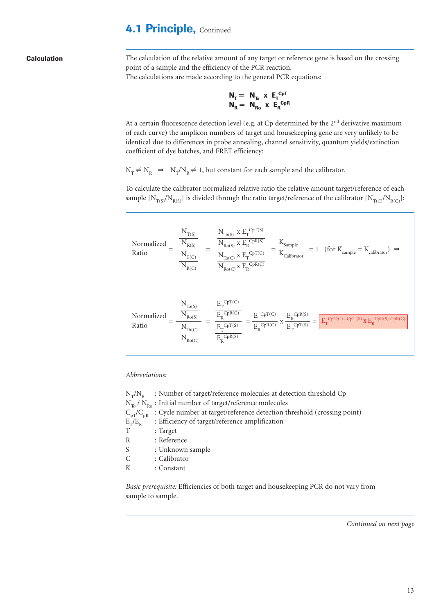### **4.1 Principle, Continued**

**Calculation**

The calculation of the relative amount of any target or reference gene is based on the crossing point of a sample and the efficiency of the PCR reaction. The calculations are made according to the general PCR equations:

$$
\begin{array}{ll}\nN_T = N_{T_0} \times E_T^{CpT} \\
N_R = N_{R_0} \times E_R^{CpR}\n\end{array}
$$

At a certain fluorescence detection level (e.g. at Cp determined by the 2<sup>nd</sup> derivative maximum of each curve) the amplicon numbers of target and housekeeping gene are very unlikely to be identical due to differences in probe annealing, channel sensitivity, quantum yields/extinction coefficient of dye batches, and FRET efficiency:

 $N_T \neq N_R \Rightarrow N_T/N_R \neq 1$ , but constant for each sample and the calibrator.

To calculate the calibrator normalized relative ratio the relative amount target/reference of each sample  $[N_{T(S)}/N_{R(S)}]$  is divided through the ratio target/reference of the calibrator  $[N_{T(C)}/N_{R(C)}]$ :

$$
\begin{aligned} \text{Normalized} &= \frac{\frac{N_{T(S)}}{N_{R(S)}}}{\frac{N_{T(C)}}{N_{R(C)}}} = \frac{\frac{N_{T_0(S)} \times E_T^{CpT(S)}}{N_{R_0(S)} \times E_T^{CpT(C)}}}{\frac{N_{T_0(C)} \times E_T^{CpT(C)}}{N_{R_0(C)} \times E_R^{CpR(C)}}} = \frac{K_{\text{Sample}}}{K_{\text{Calibration}}} = 1 \quad (\text{for } K_{\text{sample}} = K_{\text{calibration}}) \implies\\ \text{Normalized} &= \frac{\frac{N_{T_0(S)}}{N_{R_0(S)}}}{\frac{N_{T_0(S)}}{N_{R_0(C)}}} = \frac{\frac{E_T^{CpT(C)}}{E_T^{CpR(C)}}}{\frac{E_T^{CpT(S)}}{E_T^{CpR(C)}}} = \frac{\frac{E_T^{CpT(C)}}{E_T^{CpR(S)}}}{\frac{E_T^{CpR(C)}}{E_R^{CpR(C)}}} \times \frac{E_R^{CpR(S)}}{E_T^{CpT(S)}} = \boxed{E_T^{CpT(C) - CpT(S)} \times E_R^{CpR(S) - CpR(C)}} \end{aligned}
$$

*Abbreviations:*

 $N_T/N_R$  : Number of target/reference molecules at detection threshold Cp  $N_{T_0}$  /  $N_{R_0}$ : Initial number of target/reference molecules  $C_{pT}/C_{pR}$  : Cycle number at target/reference detection threshold (crossing point)<br> $E_T/E_R$  : Efficiency of target/reference amplification  $E_T/E_R$  : Efficiency of target/reference amplification<br>  $T$  : Target : Target R : Reference S : Unknown sample C : Calibrator K : Constant

*Basic prerequisite:* Efficiencies of both target and housekeeping PCR do not vary from sample to sample.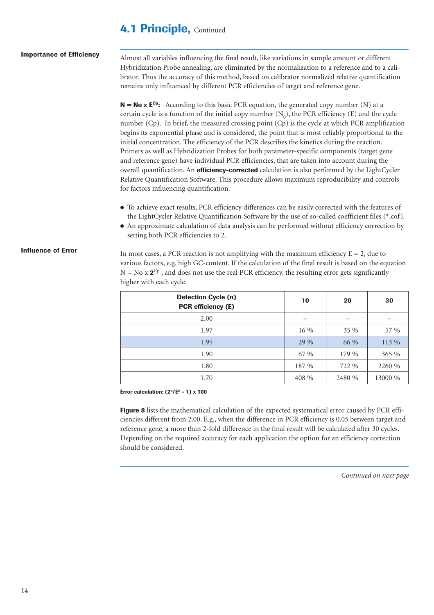### **4.1 Principle, Continued**

| <b>Importance of Efficiency</b> | Almost all variables influencing the final result, like variations in sample amount or different<br>Hybridization Probe annealing, are eliminated by the normalization to a reference and to a cali-<br>brator. Thus the accuracy of this method, based on calibrator normalized relative quantification<br>remains only influenced by different PCR efficiencies of target and reference gene.                                                                                                                                                                                                                                                                                                                                                                                                                                                                                                                                                                                                                                                                                                                                                                                                                                                                                                                            |    |    |    |
|---------------------------------|----------------------------------------------------------------------------------------------------------------------------------------------------------------------------------------------------------------------------------------------------------------------------------------------------------------------------------------------------------------------------------------------------------------------------------------------------------------------------------------------------------------------------------------------------------------------------------------------------------------------------------------------------------------------------------------------------------------------------------------------------------------------------------------------------------------------------------------------------------------------------------------------------------------------------------------------------------------------------------------------------------------------------------------------------------------------------------------------------------------------------------------------------------------------------------------------------------------------------------------------------------------------------------------------------------------------------|----|----|----|
|                                 | $N = No \times E^{Cp}$ : According to this basic PCR equation, the generated copy number (N) at a<br>certain cycle is a function of the initial copy number $(N_0)$ , the PCR efficiency (E) and the cycle<br>number (Cp). In brief, the measured crossing point (Cp) is the cycle at which PCR amplification<br>begins its exponential phase and is considered, the point that is most reliably proportional to the<br>initial concentration. The efficiency of the PCR describes the kinetics during the reaction.<br>Primers as well as Hybridization Probes for both parameter-specific components (target gene<br>and reference gene) have individual PCR efficiencies, that are taken into account during the<br>overall quantification. An efficiency-corrected calculation is also performed by the LightCycler<br>Relative Quantification Software. This procedure allows maximum reproducibility and controls<br>for factors influencing quantification.<br>• To achieve exact results, PCR efficiency differences can be easily corrected with the features of<br>the LightCycler Relative Quantification Software by the use of so-called coefficient files (*.cof).<br>• An approximate calculation of data analysis can be performed without efficiency correction by<br>setting both PCR efficiencies to 2. |    |    |    |
| <b>Influence of Error</b>       | In most cases, a PCR reaction is not amplifying with the maximum efficiency $E = 2$ , due to<br>various factors, e.g. high GC-content. If the calculation of the final result is based on the equation<br>$N = No x 2^{Cp}$ , and does not use the real PCR efficiency, the resulting error gets significantly<br>higher with each cycle.                                                                                                                                                                                                                                                                                                                                                                                                                                                                                                                                                                                                                                                                                                                                                                                                                                                                                                                                                                                  |    |    |    |
|                                 | <b>Detection Cycle (n)</b><br><b>PCR</b> efficiency (E)                                                                                                                                                                                                                                                                                                                                                                                                                                                                                                                                                                                                                                                                                                                                                                                                                                                                                                                                                                                                                                                                                                                                                                                                                                                                    | 10 | 20 | 30 |
|                                 | 2.00                                                                                                                                                                                                                                                                                                                                                                                                                                                                                                                                                                                                                                                                                                                                                                                                                                                                                                                                                                                                                                                                                                                                                                                                                                                                                                                       |    |    |    |

**Error calculation: (2n/En - 1) x 100**

**Figure 8** lists the mathematical calculation of the expected systematical error caused by PCR efficiencies different from 2.00. E.g., when the difference in PCR efficiency is 0.05 between target and reference gene, a more than 2-fold difference in the final result will be calculated after 30 cycles. Depending on the required accuracy for each application the option for an efficiency correction should be considered.

1.97  $16\%$   $35\%$  57%  $1.95$  29 %  $\begin{array}{|c|c|c|c|c|c|} \hline 29 & 66 & 66 & 113 & 66 \ \hline \end{array}$ 1.90  $\begin{array}{|c|c|c|c|c|c|} \hline \end{array}$  67 %  $\begin{array}{|c|c|c|c|c|c|} \hline \end{array}$  179 % 365 % 1.80 187 % 722 % 2260 % 1.70  $1.70$   $408 \%$   $2480 \%$   $13000 \%$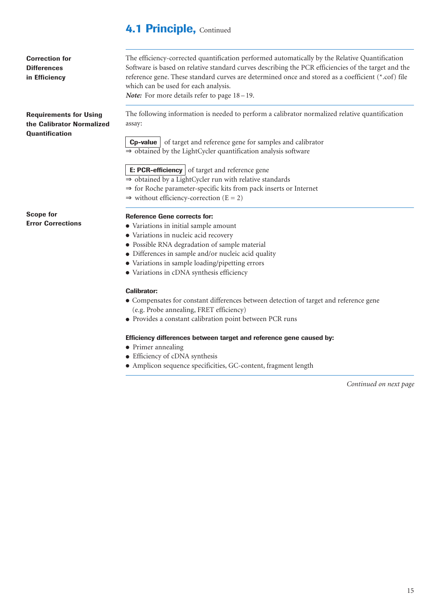### **4.1 Principle, Continued**

| <b>Correction for</b><br><b>Differences</b>                | The efficiency-corrected quantification performed automatically by the Relative Quantification<br>Software is based on relative standard curves describing the PCR efficiencies of the target and the |  |  |  |  |
|------------------------------------------------------------|-------------------------------------------------------------------------------------------------------------------------------------------------------------------------------------------------------|--|--|--|--|
| in Efficiency                                              | reference gene. These standard curves are determined once and stored as a coefficient (*.cof) file<br>which can be used for each analysis.                                                            |  |  |  |  |
|                                                            | <b>Note:</b> For more details refer to page $18-19$ .                                                                                                                                                 |  |  |  |  |
| <b>Requirements for Using</b><br>the Calibrator Normalized | The following information is needed to perform a calibrator normalized relative quantification<br>assay:                                                                                              |  |  |  |  |
| <b>Quantification</b>                                      | <b>Cp-value</b> of target and reference gene for samples and calibrator<br>$\Rightarrow$ obtained by the LightCycler quantification analysis software                                                 |  |  |  |  |
|                                                            | $\mathbf{F}$ . DCD officionary of target and reference gene                                                                                                                                           |  |  |  |  |

**E: PCR-efficiency** of target and reference gene ⇒ obtained by a LightCycler run with relative standards

- ⇒ for Roche parameter-specific kits from pack inserts or Internet
- $\Rightarrow$  without efficiency-correction (E = 2)

**Scope for Error Corrections**

### **Reference Gene corrects for:**

- Variations in initial sample amount
- Variations in nucleic acid recovery
- Possible RNA degradation of sample material
- Differences in sample and/or nucleic acid quality
- Variations in sample loading/pipetting errors
- Variations in cDNA synthesis efficiency

### **Calibrator:**

- Compensates for constant differences between detection of target and reference gene (e.g. Probe annealing, FRET efficiency)
- Provides a constant calibration point between PCR runs

### **Efficiency differences between target and reference gene caused by:**

- Primer annealing
- Efficiency of cDNA synthesis
- Amplicon sequence specificities, GC-content, fragment length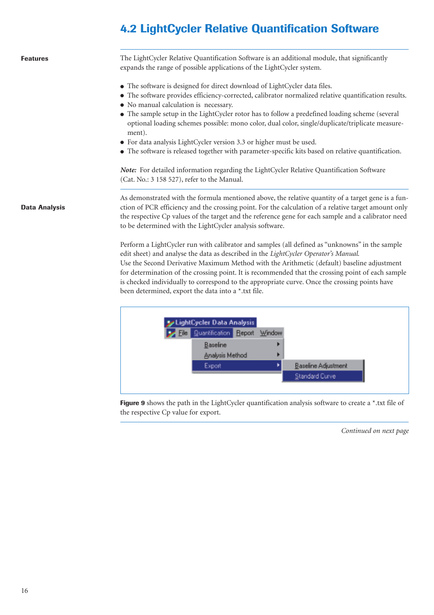# **4.2 LightCycler Relative Quantification Software**

| <b>Features</b>      | The LightCycler Relative Quantification Software is an additional module, that significantly<br>expands the range of possible applications of the LightCycler system.                                                                                                                                                                                                                                                                                                                                                                                                                                                                                                                                               |
|----------------------|---------------------------------------------------------------------------------------------------------------------------------------------------------------------------------------------------------------------------------------------------------------------------------------------------------------------------------------------------------------------------------------------------------------------------------------------------------------------------------------------------------------------------------------------------------------------------------------------------------------------------------------------------------------------------------------------------------------------|
|                      | • The software is designed for direct download of LightCycler data files.<br>• The software provides efficiency-corrected, calibrator normalized relative quantification results.<br>• No manual calculation is necessary.<br>• The sample setup in the LightCycler rotor has to follow a predefined loading scheme (several<br>optional loading schemes possible: mono color, dual color, single/duplicate/triplicate measure-<br>ment).<br>• For data analysis LightCycler version 3.3 or higher must be used.<br>• The software is released together with parameter-specific kits based on relative quantification.<br>Note: For detailed information regarding the LightCycler Relative Quantification Software |
|                      | (Cat. No.: 3 158 527), refer to the Manual.                                                                                                                                                                                                                                                                                                                                                                                                                                                                                                                                                                                                                                                                         |
| <b>Data Analysis</b> | As demonstrated with the formula mentioned above, the relative quantity of a target gene is a fun-<br>ction of PCR efficiency and the crossing point. For the calculation of a relative target amount only<br>the respective Cp values of the target and the reference gene for each sample and a calibrator need<br>to be determined with the LightCycler analysis software.                                                                                                                                                                                                                                                                                                                                       |
|                      | Perform a LightCycler run with calibrator and samples (all defined as "unknowns" in the sample<br>edit sheet) and analyse the data as described in the LightCycler Operator's Manual.<br>Use the Second Derivative Maximum Method with the Arithmetic (default) baseline adjustment<br>for determination of the crossing point. It is recommended that the crossing point of each sample<br>is checked individually to correspond to the appropriate curve. Once the crossing points have<br>been determined, export the data into a *.txt file.                                                                                                                                                                    |
|                      | LightCycler Data Analysis<br>Quantification Report Window<br>Baseline<br>Analysis Method                                                                                                                                                                                                                                                                                                                                                                                                                                                                                                                                                                                                                            |

Export

Figure 9 shows the path in the LightCycler quantification analysis software to create a \*.txt file of the respective Cp value for export.

٠

*Continued on next page*

Baseline Adjustment

Standard Curve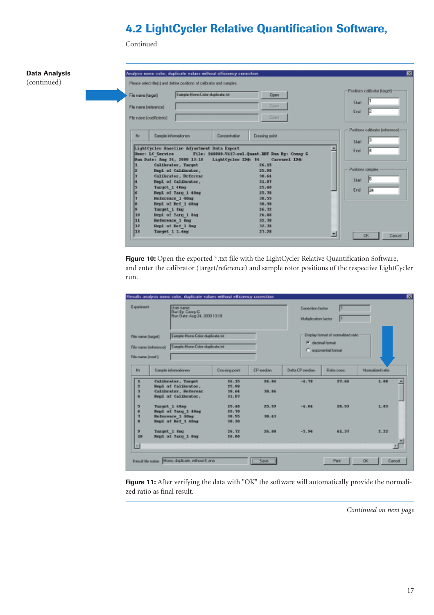# **4.2 LightCycler Relative Quantification Software,**

Continued



**Figure 10:** Open the exported \*.txt file with the LightCycler Relative Quantification Software, and enter the calibrator (target/reference) and sample rotor positions of the respective LightCycler run.

| Results analysis mono color, duplicate values without efficiency correction                                                                                                                                              |                                  |                              |                  |             |                                             |
|--------------------------------------------------------------------------------------------------------------------------------------------------------------------------------------------------------------------------|----------------------------------|------------------------------|------------------|-------------|---------------------------------------------|
| User name:<br><b>Run By: Conner G</b>                                                                                                                                                                                    |                                  |                              |                  |             |                                             |
| Display format of normalized ratio<br>Sangle-Mono-Color-duplicate txt<br>File name (target)<br>F decimal format<br>Sangle Mono Color duplicate bit<br>File name (reference)<br>C exponential format<br>File name (cost.) |                                  |                              |                  |             |                                             |
| Sangle informationen                                                                                                                                                                                                     | Clossing point                   | <b>CP wedan</b>              | Delta CP ruedian | Ratio cont. | Namalized ratio                             |
| Calibrator, Target<br>Repl of Calibrator,<br>Calibrator, Seferenc<br>Repl of Calibrator,                                                                                                                                 | 26.15<br>35.98<br>30.64<br>31.07 | 26.06<br>30.86               | $-4.79$          | 27.66       | 1.00<br>۰                                   |
| Target 1 40sg<br>Repl of Tary 1 40sg<br>Beference 1 40mg<br>Repl of Ref 1 ding                                                                                                                                           | 25.48<br>25.70<br>38.55<br>30.30 | 25.59<br>30.43               | $-4.84$          | 28.53       | 1.03                                        |
| Target 1 Ing<br>Repl of Yary 1 8ng                                                                                                                                                                                       | 26.72<br>26.88                   | 26.80                        | $-5.94$          | 61.37       | 2.22                                        |
|                                                                                                                                                                                                                          |                                  | Run Date: Aug 24, 2000 13:18 |                  |             | Correction l'actor<br>Multiplication factor |

Figure 11: After verifying the data with "OK" the software will automatically provide the normalized ratio as final result.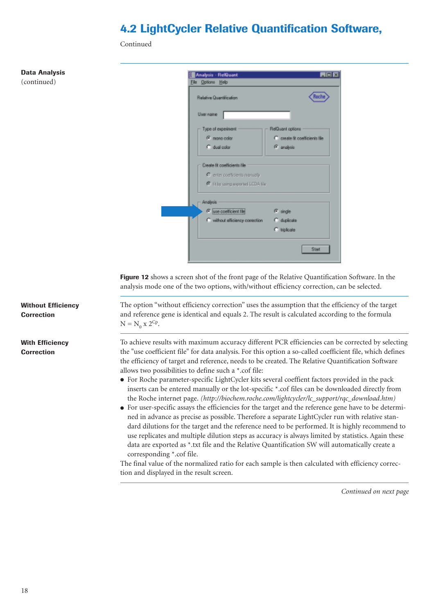# **4.2 LightCycler Relative Quantification Software,**

Continued

### **Data Analysis** (continued)

| Relative Quantification         | m                              |
|---------------------------------|--------------------------------|
| User name                       |                                |
| Type of experiment              | RelQuant options               |
| G mone color                    | C create fit coefficients file |
| C dual color                    | <sup>(F)</sup> analysis        |
| # B by uring exported LCDA file |                                |
| Analysis                        |                                |
| G use coefficient file          | F. single                      |
| C without efficiency correction | C diploate                     |
|                                 | C hiplicate                    |

**Figure 12** shows a screen shot of the front page of the Relative Quantification Software. In the analysis mode one of the two options, with/without efficiency correction, can be selected.

The option "without efficiency correction" uses the assumption that the efficiency of the target and reference gene is identical and equals 2. The result is calculated according to the formula  $N = N_0 x 2^{Cp}$ .

To achieve results with maximum accuracy different PCR efficiencies can be corrected by selecting the "use coefficient file" for data analysis. For this option a so-called coefficient file, which defines the efficiency of target and reference, needs to be created. The Relative Quantification Software allows two possibilities to define such a \*.cof file:

- For Roche parameter-specific LightCycler kits several coeffient factors provided in the pack inserts can be entered manually or the lot-specific \*.cof files can be downloaded directly from the Roche internet page. *(http://biochem.roche.com/lightcycler/lc\_support/rqc\_download.htm)*
- For user-specific assays the efficiencies for the target and the reference gene have to be determined in advance as precise as possible. Therefore a separate LightCycler run with relative standard dilutions for the target and the reference need to be performed. It is highly recommend to use replicates and multiple dilution steps as accuracy is always limited by statistics. Again these data are exported as \*.txt file and the Relative Quantification SW will automatically create a corresponding \*.cof file.

The final value of the normalized ratio for each sample is then calculated with efficiency correction and displayed in the result screen.

*Continued on next page*

### **Without Efficiency Correction**

**With Efficiency Correction**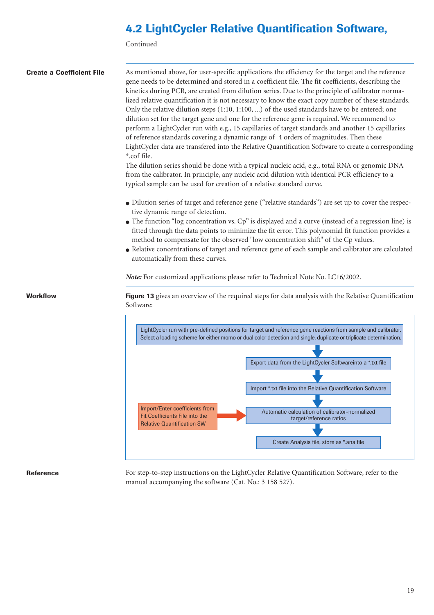# **4.2 LightCycler Relative Quantification Software,**

Continued

| <b>Create a Coefficient File</b> | As mentioned above, for user-specific applications the efficiency for the target and the reference<br>gene needs to be determined and stored in a coefficient file. The fit coefficients, describing the<br>kinetics during PCR, are created from dilution series. Due to the principle of calibrator norma-<br>lized relative quantification it is not necessary to know the exact copy number of these standards.<br>Only the relative dilution steps (1:10, 1:100, ) of the used standards have to be entered; one<br>dilution set for the target gene and one for the reference gene is required. We recommend to<br>perform a LightCycler run with e.g., 15 capillaries of target standards and another 15 capillaries<br>of reference standards covering a dynamic range of 4 orders of magnitudes. Then these<br>LightCycler data are transfered into the Relative Quantification Software to create a corresponding<br>*.cof file.<br>The dilution series should be done with a typical nucleic acid, e.g., total RNA or genomic DNA<br>from the calibrator. In principle, any nucleic acid dilution with identical PCR efficiency to a<br>typical sample can be used for creation of a relative standard curve.<br>• Dilution series of target and reference gene ("relative standards") are set up to cover the respec-<br>tive dynamic range of detection.<br>• The function "log concentration vs. Cp" is displayed and a curve (instead of a regression line) is<br>fitted through the data points to minimize the fit error. This polynomial fit function provides a<br>method to compensate for the observed "low concentration shift" of the Cp values.<br>• Relative concentrations of target and reference gene of each sample and calibrator are calculated<br>automatically from these curves. |
|----------------------------------|--------------------------------------------------------------------------------------------------------------------------------------------------------------------------------------------------------------------------------------------------------------------------------------------------------------------------------------------------------------------------------------------------------------------------------------------------------------------------------------------------------------------------------------------------------------------------------------------------------------------------------------------------------------------------------------------------------------------------------------------------------------------------------------------------------------------------------------------------------------------------------------------------------------------------------------------------------------------------------------------------------------------------------------------------------------------------------------------------------------------------------------------------------------------------------------------------------------------------------------------------------------------------------------------------------------------------------------------------------------------------------------------------------------------------------------------------------------------------------------------------------------------------------------------------------------------------------------------------------------------------------------------------------------------------------------------------------------------------------------------------------------------------------------------------------------------|
|                                  | Note: For customized applications please refer to Technical Note No. LC16/2002.                                                                                                                                                                                                                                                                                                                                                                                                                                                                                                                                                                                                                                                                                                                                                                                                                                                                                                                                                                                                                                                                                                                                                                                                                                                                                                                                                                                                                                                                                                                                                                                                                                                                                                                                    |
| Workflow                         | Figure 13 gives an overview of the required steps for data analysis with the Relative Quantification<br>Software:                                                                                                                                                                                                                                                                                                                                                                                                                                                                                                                                                                                                                                                                                                                                                                                                                                                                                                                                                                                                                                                                                                                                                                                                                                                                                                                                                                                                                                                                                                                                                                                                                                                                                                  |
|                                  | LightCycler run with pre-defined positions for target and reference gene reactions from sample and calibrator.<br>Select a loading scheme for either momo or dual color detection and single, duplicate or triplicate determination.<br>Export data from the LightCycler Softwareinto a *.txt file<br>Import *.txt file into the Relative Quantification Software<br>Import/Enter coefficients from<br>Automatic calculation of calibrator-normalized<br>Fit Coefficients File into the<br>target/reference ratios<br><b>Relative Quantification SW</b><br>Create Analysis file, store as *.ana file                                                                                                                                                                                                                                                                                                                                                                                                                                                                                                                                                                                                                                                                                                                                                                                                                                                                                                                                                                                                                                                                                                                                                                                                               |

### **Reference**

For step-to-step instructions on the LightCycler Relative Quantification Software, refer to the manual accompanying the software (Cat. No.: 3 158 527).

19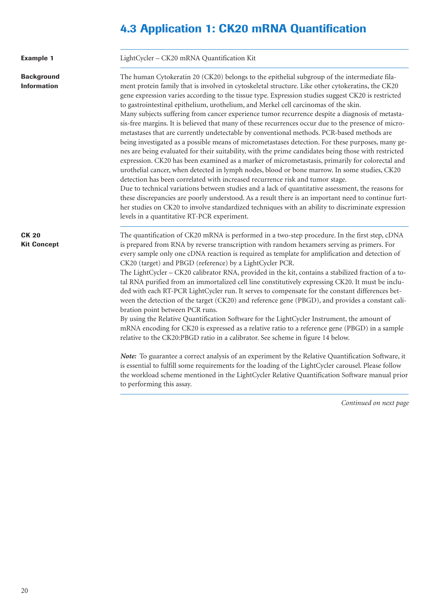# **4.3 Application 1: CK20 mRNA Quantification**

| <b>Example 1</b>                        | LightCycler - CK20 mRNA Quantification Kit                                                                                                                                                                                                                                                                                                                                                                                                                                                                                                                                                                                                                                                                                                                                                                                                                                                                                                                                                                                                                                                                                                                                                                                                                                                                                                                                                                                                                                                                                                                              |
|-----------------------------------------|-------------------------------------------------------------------------------------------------------------------------------------------------------------------------------------------------------------------------------------------------------------------------------------------------------------------------------------------------------------------------------------------------------------------------------------------------------------------------------------------------------------------------------------------------------------------------------------------------------------------------------------------------------------------------------------------------------------------------------------------------------------------------------------------------------------------------------------------------------------------------------------------------------------------------------------------------------------------------------------------------------------------------------------------------------------------------------------------------------------------------------------------------------------------------------------------------------------------------------------------------------------------------------------------------------------------------------------------------------------------------------------------------------------------------------------------------------------------------------------------------------------------------------------------------------------------------|
| <b>Background</b><br><b>Information</b> | The human Cytokeratin 20 (CK20) belongs to the epithelial subgroup of the intermediate fila-<br>ment protein family that is involved in cytoskeletal structure. Like other cytokeratins, the CK20<br>gene expression varies according to the tissue type. Expression studies suggest CK20 is restricted<br>to gastrointestinal epithelium, urothelium, and Merkel cell carcinomas of the skin.<br>Many subjects suffering from cancer experience tumor recurrence despite a diagnosis of metasta-<br>sis-free margins. It is believed that many of these recurrences occur due to the presence of micro-<br>metastases that are currently undetectable by conventional methods. PCR-based methods are<br>being investigated as a possible means of micrometastases detection. For these purposes, many ge-<br>nes are being evaluated for their suitability, with the prime candidates being those with restricted<br>expression. CK20 has been examined as a marker of micrometastasis, primarily for colorectal and<br>urothelial cancer, when detected in lymph nodes, blood or bone marrow. In some studies, CK20<br>detection has been correlated with increased recurrence risk and tumor stage.<br>Due to technical variations between studies and a lack of quantitative assessment, the reasons for<br>these discrepancies are poorly understood. As a result there is an important need to continue furt-<br>her studies on CK20 to involve standardized techniques with an ability to discriminate expression<br>levels in a quantitative RT-PCR experiment. |
| <b>CK 20</b><br><b>Kit Concept</b>      | The quantification of CK20 mRNA is performed in a two-step procedure. In the first step, cDNA<br>is prepared from RNA by reverse transcription with random hexamers serving as primers. For<br>every sample only one cDNA reaction is required as template for amplification and detection of<br>CK20 (target) and PBGD (reference) by a LightCycler PCR.<br>The LightCycler - CK20 calibrator RNA, provided in the kit, contains a stabilized fraction of a to-<br>tal RNA purified from an immortalized cell line constitutively expressing CK20. It must be inclu-<br>ded with each RT-PCR LightCycler run. It serves to compensate for the constant differences bet-<br>ween the detection of the target (CK20) and reference gene (PBGD), and provides a constant cali-<br>bration point between PCR runs.<br>By using the Relative Quantification Software for the LightCycler Instrument, the amount of<br>mRNA encoding for CK20 is expressed as a relative ratio to a reference gene (PBGD) in a sample<br>relative to the CK20:PBGD ratio in a calibrator. See scheme in figure 14 below.<br>Note: To guarantee a correct analysis of an experiment by the Relative Quantification Software, it<br>is essential to fulfill some requirements for the loading of the LightCycler carousel. Please follow<br>the workload scheme mentioned in the LightCycler Relative Quantification Software manual prior<br>to performing this assay.                                                                                                                        |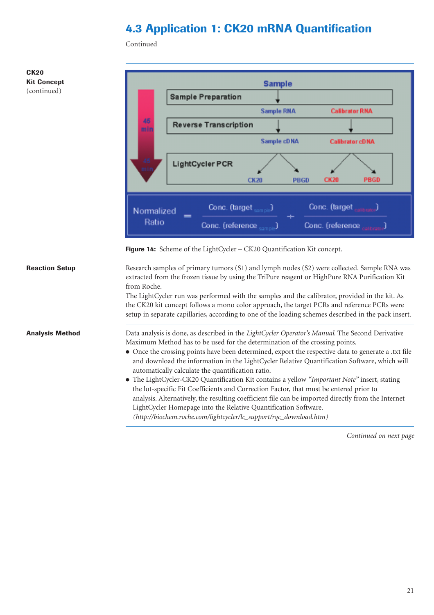# **4.3 Application 1: CK20 mRNA Quantification**

Continued



*(http://biochem.roche.com/lightcycler/lc\_support/rqc\_download.htm)* 

*Continued on next page*

21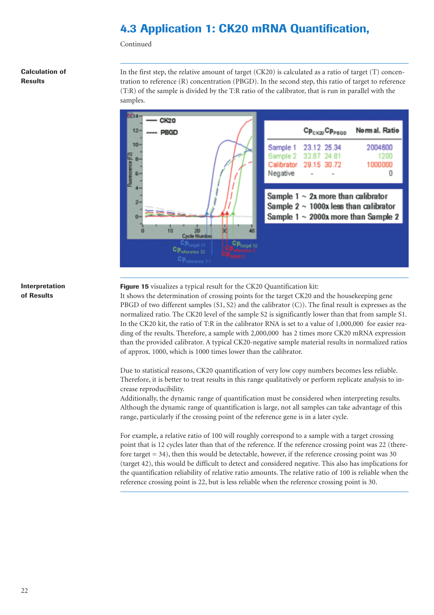# **4.3 Application 1: CK20 mRNA Quantification,**

Continued

### **Calculation of Results**

In the first step, the relative amount of target (CK20) is calculated as a ratio of target (T) concentration to reference (R) concentration (PBGD). In the second step, this ratio of target to reference (T:R) of the sample is divided by the T:R ratio of the calibrator, that is run in parallel with the samples.

![](_page_21_Figure_4.jpeg)

### **Interpretation of Results**

**Figure 15** visualizes a typical result for the CK20 Quantification kit:

It shows the determination of crossing points for the target CK20 and the housekeeping gene PBGD of two different samples (S1, S2) and the calibrator (C)). The final result is expresses as the normalized ratio. The CK20 level of the sample S2 is significantly lower than that from sample S1. In the CK20 kit, the ratio of T:R in the calibrator RNA is set to a value of 1,000,000 for easier reading of the results. Therefore, a sample with 2,000,000 has 2 times more CK20 mRNA expression than the provided calibrator. A typical CK20-negative sample material results in normalized ratios of approx. 1000, which is 1000 times lower than the calibrator.

Due to statistical reasons, CK20 quantification of very low copy numbers becomes less reliable. Therefore, it is better to treat results in this range qualitatively or perform replicate analysis to increase reproducibility.

Additionally, the dynamic range of quantification must be considered when interpreting results. Although the dynamic range of quantification is large, not all samples can take advantage of this range, particularly if the crossing point of the reference gene is in a later cycle.

For example, a relative ratio of 100 will roughly correspond to a sample with a target crossing point that is 12 cycles later than that of the reference. If the reference crossing point was 22 (therefore target = 34), then this would be detectable, however, if the reference crossing point was 30 (target 42), this would be difficult to detect and considered negative. This also has implications for the quantification reliability of relative ratio amounts. The relative ratio of 100 is reliable when the reference crossing point is 22, but is less reliable when the reference crossing point is 30.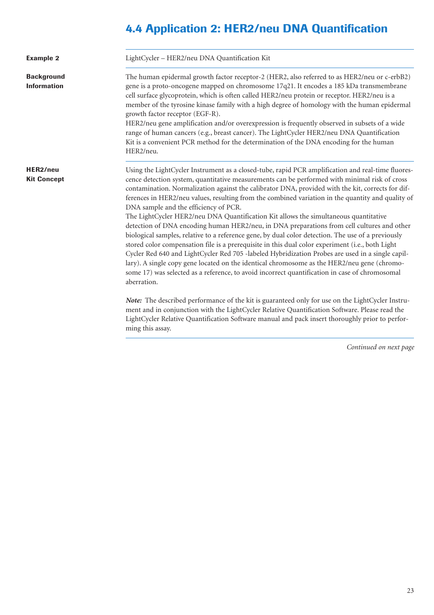# **4.4 Application 2: HER2/neu DNA Quantification**

| <b>Example 2</b>                        | LightCycler - HER2/neu DNA Quantification Kit                                                                                                                                                                                                                                                                                                                                                                                                                                                                                                                                                                                                                                                                                                                                                                                                                                                                                                                                                                                                                                                                                                                                                                                                                                                                                                                                                                                                                                                          |
|-----------------------------------------|--------------------------------------------------------------------------------------------------------------------------------------------------------------------------------------------------------------------------------------------------------------------------------------------------------------------------------------------------------------------------------------------------------------------------------------------------------------------------------------------------------------------------------------------------------------------------------------------------------------------------------------------------------------------------------------------------------------------------------------------------------------------------------------------------------------------------------------------------------------------------------------------------------------------------------------------------------------------------------------------------------------------------------------------------------------------------------------------------------------------------------------------------------------------------------------------------------------------------------------------------------------------------------------------------------------------------------------------------------------------------------------------------------------------------------------------------------------------------------------------------------|
| <b>Background</b><br><b>Information</b> | The human epidermal growth factor receptor-2 (HER2, also referred to as HER2/neu or c-erbB2)<br>gene is a proto-oncogene mapped on chromosome 17q21. It encodes a 185 kDa transmembrane<br>cell surface glycoprotein, which is often called HER2/neu protein or receptor. HER2/neu is a<br>member of the tyrosine kinase family with a high degree of homology with the human epidermal<br>growth factor receptor (EGF-R).<br>HER2/neu gene amplification and/or overexpression is frequently observed in subsets of a wide<br>range of human cancers (e.g., breast cancer). The LightCycler HER2/neu DNA Quantification<br>Kit is a convenient PCR method for the determination of the DNA encoding for the human<br>HER2/neu.                                                                                                                                                                                                                                                                                                                                                                                                                                                                                                                                                                                                                                                                                                                                                                        |
| HER2/neu<br><b>Kit Concept</b>          | Using the LightCycler Instrument as a closed-tube, rapid PCR amplification and real-time fluores-<br>cence detection system, quantitative measurements can be performed with minimal risk of cross<br>contamination. Normalization against the calibrator DNA, provided with the kit, corrects for dif-<br>ferences in HER2/neu values, resulting from the combined variation in the quantity and quality of<br>DNA sample and the efficiency of PCR.<br>The LightCycler HER2/neu DNA Quantification Kit allows the simultaneous quantitative<br>detection of DNA encoding human HER2/neu, in DNA preparations from cell cultures and other<br>biological samples, relative to a reference gene, by dual color detection. The use of a previously<br>stored color compensation file is a prerequisite in this dual color experiment (i.e., both Light<br>Cycler Red 640 and LightCycler Red 705 -labeled Hybridization Probes are used in a single capil-<br>lary). A single copy gene located on the identical chromosome as the HER2/neu gene (chromo-<br>some 17) was selected as a reference, to avoid incorrect quantification in case of chromosomal<br>aberration.<br>Note: The described performance of the kit is guaranteed only for use on the LightCycler Instru-<br>ment and in conjunction with the LightCycler Relative Quantification Software. Please read the<br>LightCycler Relative Quantification Software manual and pack insert thoroughly prior to perfor-<br>ming this assay. |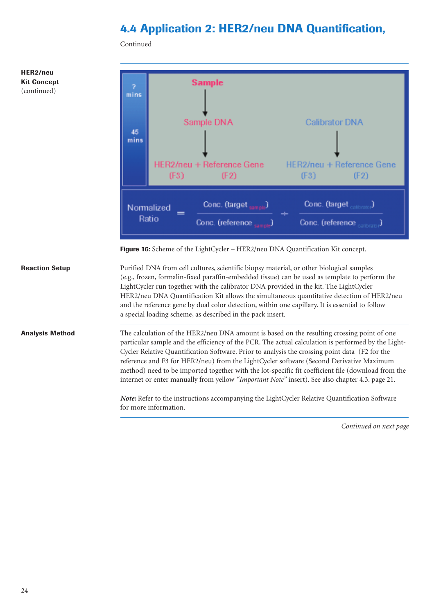# **4.4 Application 2: HER2/neu DNA Quantification,**

Continued

![](_page_23_Figure_2.jpeg)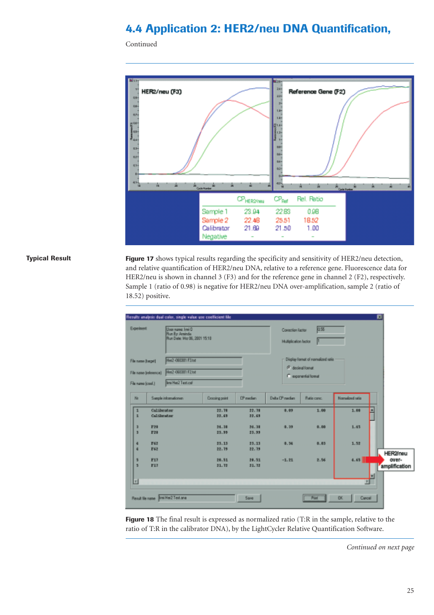# **4.4 Application 2: HER2/neu DNA Quantification,**

Continued

![](_page_24_Figure_2.jpeg)

### **Typical Result**

**Figure 17** shows typical results regarding the specificity and sensitivity of HER2/neu detection, and relative quantification of HER2/neu DNA, relative to a reference gene. Fluorescence data for HER2/neu is shown in channel 3 (F3) and for the reference gene in channel 2 (F2), respectively. Sample 1 (ratio of 0.98) is negative for HER2/neu DNA over-amplification, sample 2 (ratio of 18.52) positive.

| Experiment                                    | User name: Imi O<br><b>Pun By: Aminda</b><br>Flun Date: Miz 06, 2001 15:18 |                       |                  | Conscion Factor<br>Multiplication factor | 0.55                                                  |                  |   |                   |
|-----------------------------------------------|----------------------------------------------------------------------------|-----------------------|------------------|------------------------------------------|-------------------------------------------------------|------------------|---|-------------------|
| File name (target)                            | <b>Heck OBDOTI Filter</b>                                                  |                       |                  |                                          | Display format of normalized ratio                    |                  |   |                   |
| File name (releases)<br>File name (cost.)     | HAZ-080001 F2 hd<br>Imi Hel2 Test cof                                      |                       |                  |                                          | <sup>(2</sup> decimal format)<br>C exponential format |                  |   |                   |
| No                                            | Sample informationers                                                      | <b>Crossing point</b> | <b>CP</b> median | Delta O <sup>9</sup> median              | <b>flutio</b> conc.                                   | Normalized ratio |   |                   |
|                                               |                                                                            |                       |                  |                                          |                                                       |                  |   |                   |
| Calibrator<br>$\mathbf{1}$<br>п<br>Calibrator |                                                                            | 22.78<br>33.69        | 22, 38<br>22.69  | 0.09                                     | 1.00                                                  | 1.10             | Ξ |                   |
| а<br>P20<br>з<br>F20                          |                                                                            | $34 - 38$<br>23.55    | 34.38<br>23.99   | 0.39                                     | 0.00                                                  | 1.45             |   |                   |
| 項<br>F62<br>F62<br>a                          |                                                                            | 23.13<br>22.79        | 23.33<br>22.39   | 0.34                                     | 0.83                                                  | 1.52             |   |                   |
| s<br>F17<br>ы                                 |                                                                            | 28.51                 | 28.51            | $-1.21$                                  | 2.56                                                  | 4.65             |   | HER2/neu<br>over- |
| F17                                           |                                                                            | 31.72                 | 21.72            |                                          |                                                       |                  | E | amplification     |
| 団                                             |                                                                            |                       |                  |                                          |                                                       | E                |   |                   |

**Figure 18** The final result is expressed as normalized ratio (T:R in the sample, relative to the ratio of T:R in the calibrator DNA), by the LightCycler Relative Quantification Software.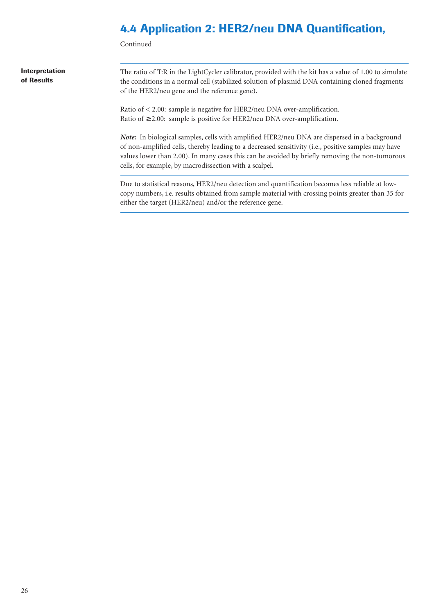## **4.4 Application 2: HER2/neu DNA Quantification,**

Continued

**Interpretation of Results**

The ratio of T:R in the LightCycler calibrator, provided with the kit has a value of 1.00 to simulate the conditions in a normal cell (stabilized solution of plasmid DNA containing cloned fragments of the HER2/neu gene and the reference gene).

Ratio of < 2.00: sample is negative for HER2/neu DNA over-amplification. Ratio of  $\geq$  2.00: sample is positive for HER2/neu DNA over-amplification.

*Note:* In biological samples, cells with amplified HER2/neu DNA are dispersed in a background of non-amplified cells, thereby leading to a decreased sensitivity (i.e., positive samples may have values lower than 2.00). In many cases this can be avoided by briefly removing the non-tumorous cells, for example, by macrodissection with a scalpel.

Due to statistical reasons, HER2/neu detection and quantification becomes less reliable at lowcopy numbers, i.e. results obtained from sample material with crossing points greater than 35 for either the target (HER2/neu) and/or the reference gene.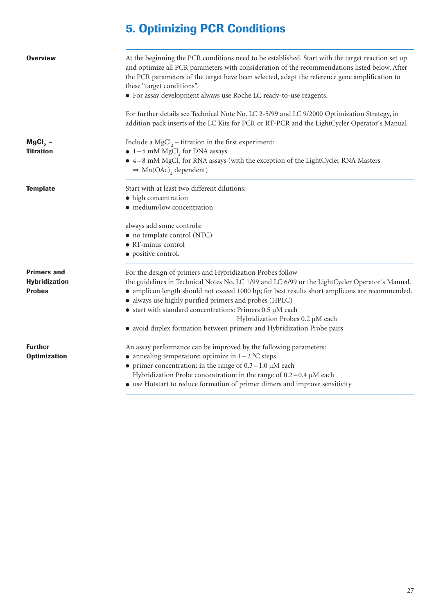# **5. Optimizing PCR Conditions**

| <b>Overview</b>                                             | At the beginning the PCR conditions need to be established. Start with the target reaction set up<br>and optimize all PCR parameters with consideration of the recommendations listed below. After<br>the PCR parameters of the target have been selected, adapt the reference gene amplification to<br>these "target conditions".<br>• For assay development always use Roche LC ready-to-use reagents.                                                                                                    |  |  |  |  |  |
|-------------------------------------------------------------|-------------------------------------------------------------------------------------------------------------------------------------------------------------------------------------------------------------------------------------------------------------------------------------------------------------------------------------------------------------------------------------------------------------------------------------------------------------------------------------------------------------|--|--|--|--|--|
|                                                             | For further details see Technical Note No. LC 2-5/99 and LC 9/2000 Optimization Strategy, in<br>addition pack inserts of the LC Kits for PCR or RT-PCR and the LightCycler Operator's Manual                                                                                                                                                                                                                                                                                                                |  |  |  |  |  |
| $MgCl2$ –<br><b>Titration</b>                               | Include a $MgCl2 - titration$ in the first experiment:<br>$\bullet$ 1-5 mM MgCl, for DNA assays<br>• 4-8 mM MgCl, for RNA assays (with the exception of the LightCycler RNA Masters<br>$\Rightarrow$ Mn(OAc) <sub>2</sub> dependent)                                                                                                                                                                                                                                                                        |  |  |  |  |  |
| <b>Template</b>                                             | Start with at least two different dilutions:<br>• high concentration<br>· medium/low concentration                                                                                                                                                                                                                                                                                                                                                                                                          |  |  |  |  |  |
|                                                             | always add some controls:<br>• no template control (NTC)<br>· RT-minus control<br>• positive control.                                                                                                                                                                                                                                                                                                                                                                                                       |  |  |  |  |  |
| <b>Primers and</b><br><b>Hybridization</b><br><b>Probes</b> | For the design of primers and Hybridization Probes follow<br>the guidelines in Technical Notes No. LC 1/99 and LC 6/99 or the LightCycler Operator's Manual.<br>• amplicon length should not exceed 1000 bp; for best results short amplicons are recommended.<br>· always use highly purified primers and probes (HPLC)<br>$\bullet$ start with standard concentrations: Primers 0.5 µM each<br>Hybridization Probes 0.2 µM each<br>• avoid duplex formation between primers and Hybridization Probe pairs |  |  |  |  |  |
| <b>Further</b><br><b>Optimization</b>                       | An assay performance can be improved by the following parameters:<br>• annealing temperature: optimize in $1 - 2$ °C steps<br>• primer concentration: in the range of $0.3 - 1.0 \mu M$ each<br>Hybridization Probe concentration: in the range of $0.2 - 0.4 \mu M$ each<br>• use Hotstart to reduce formation of primer dimers and improve sensitivity                                                                                                                                                    |  |  |  |  |  |